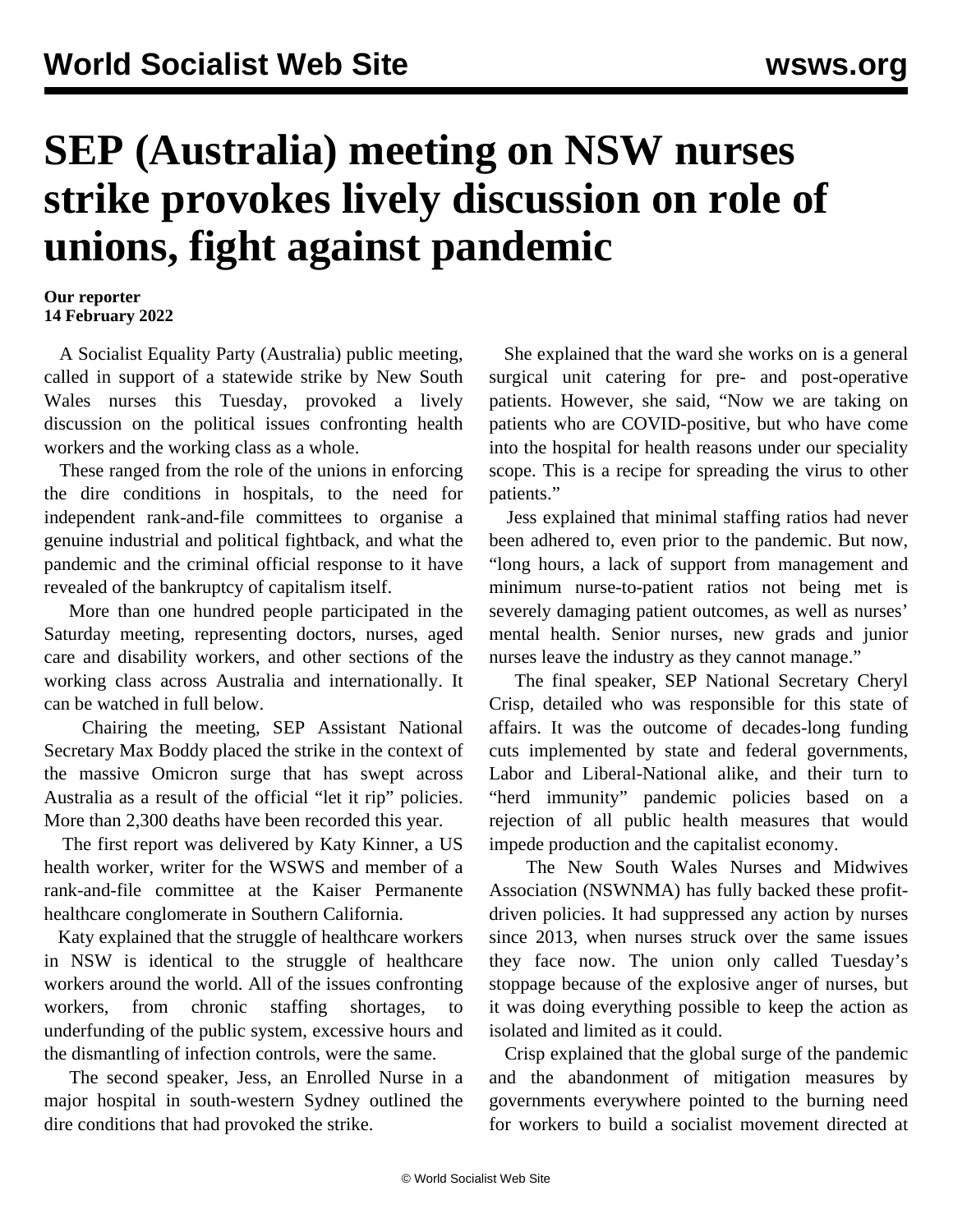## **SEP (Australia) meeting on NSW nurses strike provokes lively discussion on role of unions, fight against pandemic**

## **Our reporter 14 February 2022**

 A Socialist Equality Party (Australia) public meeting, called in support of a statewide strike by New South Wales nurses this Tuesday, provoked a lively discussion on the political issues confronting health workers and the working class as a whole.

 These ranged from the role of the unions in enforcing the dire conditions in hospitals, to the need for independent rank-and-file committees to organise a genuine industrial and political fightback, and what the pandemic and the criminal official response to it have revealed of the bankruptcy of capitalism itself.

 More than one hundred people participated in the Saturday meeting, representing doctors, nurses, aged care and disability workers, and other sections of the working class across Australia and internationally. It can be watched in full below.

 Chairing the meeting, SEP Assistant National Secretary Max Boddy placed the strike in the context of the massive Omicron surge that has swept across Australia as a result of the official "let it rip" policies. More than 2,300 deaths have been recorded this year.

 The first report was delivered by Katy Kinner, a US health worker, writer for the WSWS and member of a rank-and-file committee at the Kaiser Permanente healthcare conglomerate in Southern California.

 Katy explained that the struggle of healthcare workers in NSW is identical to the struggle of healthcare workers around the world. All of the issues confronting workers, from chronic staffing shortages, to underfunding of the public system, excessive hours and the dismantling of infection controls, were the same.

 The second speaker, Jess, an Enrolled Nurse in a major hospital in south-western Sydney outlined the dire conditions that had provoked the strike.

 She explained that the ward she works on is a general surgical unit catering for pre- and post-operative patients. However, she said, "Now we are taking on patients who are COVID-positive, but who have come into the hospital for health reasons under our speciality scope. This is a recipe for spreading the virus to other patients."

 Jess explained that minimal staffing ratios had never been adhered to, even prior to the pandemic. But now, "long hours, a lack of support from management and minimum nurse-to-patient ratios not being met is severely damaging patient outcomes, as well as nurses' mental health. Senior nurses, new grads and junior nurses leave the industry as they cannot manage."

 The final speaker, SEP National Secretary Cheryl Crisp, detailed who was responsible for this state of affairs. It was the outcome of decades-long funding cuts implemented by state and federal governments, Labor and Liberal-National alike, and their turn to "herd immunity" pandemic policies based on a rejection of all public health measures that would impede production and the capitalist economy.

 The New South Wales Nurses and Midwives Association (NSWNMA) has fully backed these profitdriven policies. It had suppressed any action by nurses since 2013, when nurses struck over the same issues they face now. The union only called Tuesday's stoppage because of the explosive anger of nurses, but it was doing everything possible to keep the action as isolated and limited as it could.

 Crisp explained that the global surge of the pandemic and the abandonment of mitigation measures by governments everywhere pointed to the burning need for workers to build a socialist movement directed at